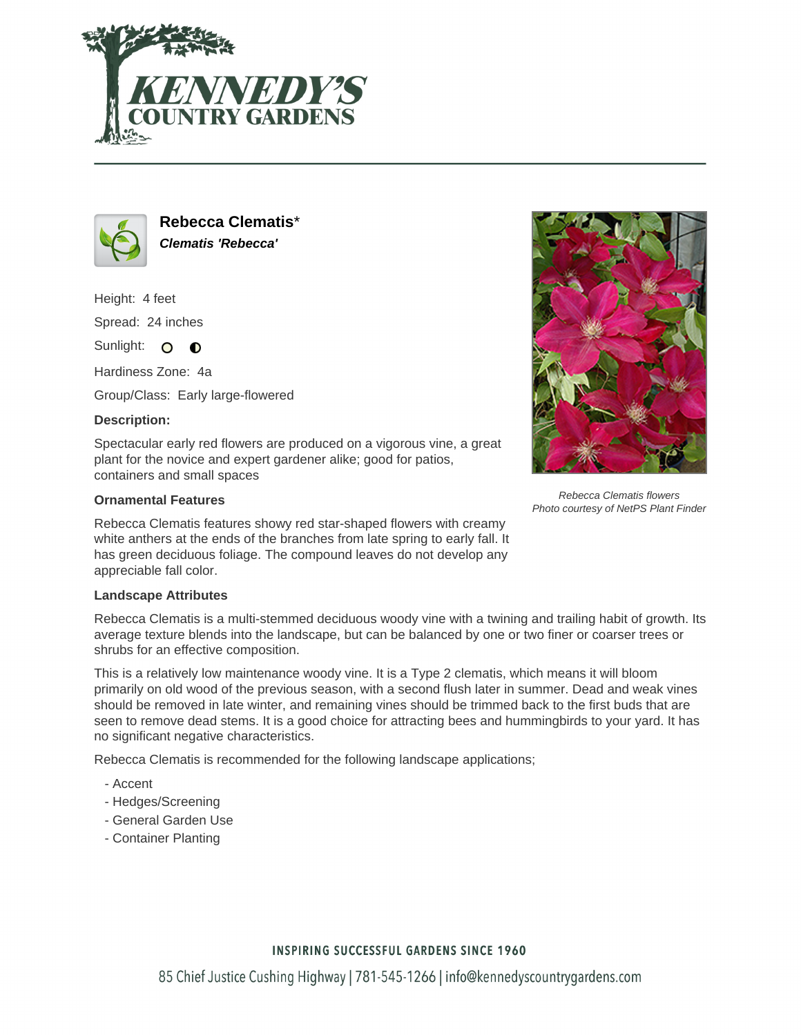



**Rebecca Clematis**\* **Clematis 'Rebecca'**

Height: 4 feet Spread: 24 inches

Sunlight: O **O** 

Hardiness Zone: 4a

Group/Class: Early large-flowered

## **Description:**

Spectacular early red flowers are produced on a vigorous vine, a great plant for the novice and expert gardener alike; good for patios, containers and small spaces

## **Ornamental Features**

Rebecca Clematis features showy red star-shaped flowers with creamy white anthers at the ends of the branches from late spring to early fall. It has green deciduous foliage. The compound leaves do not develop any appreciable fall color.

## **Landscape Attributes**

Rebecca Clematis is a multi-stemmed deciduous woody vine with a twining and trailing habit of growth. Its average texture blends into the landscape, but can be balanced by one or two finer or coarser trees or shrubs for an effective composition.

This is a relatively low maintenance woody vine. It is a Type 2 clematis, which means it will bloom primarily on old wood of the previous season, with a second flush later in summer. Dead and weak vines should be removed in late winter, and remaining vines should be trimmed back to the first buds that are seen to remove dead stems. It is a good choice for attracting bees and hummingbirds to your yard. It has no significant negative characteristics.

Rebecca Clematis is recommended for the following landscape applications;

- Accent
- Hedges/Screening
- General Garden Use
- Container Planting



Rebecca Clematis flowers Photo courtesy of NetPS Plant Finder